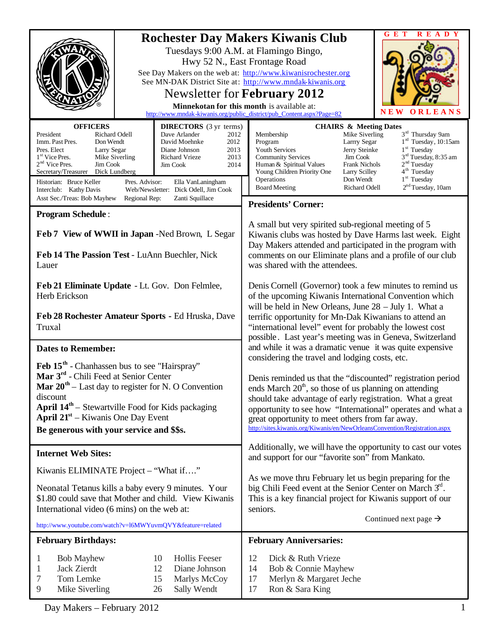|                                                                                                                                                                                                                                                                                                                                                                                                                                    |                                                                                                                                                                                    | <b>READY</b><br>GET                                                                                                                                                                                                                                                                                                                                                                                                                                                                                                                          |
|------------------------------------------------------------------------------------------------------------------------------------------------------------------------------------------------------------------------------------------------------------------------------------------------------------------------------------------------------------------------------------------------------------------------------------|------------------------------------------------------------------------------------------------------------------------------------------------------------------------------------|----------------------------------------------------------------------------------------------------------------------------------------------------------------------------------------------------------------------------------------------------------------------------------------------------------------------------------------------------------------------------------------------------------------------------------------------------------------------------------------------------------------------------------------------|
| <b>Rochester Day Makers Kiwanis Club</b><br>Tuesdays 9:00 A.M. at Flamingo Bingo,<br>Hwy 52 N., East Frontage Road<br>See Day Makers on the web at: http://www.kiwanisrochester.org<br>See MN-DAK District Site at: http://www.mndak-kiwanis.org<br>Newsletter for <b>February</b> 2012<br>Minnekotan for this month is available at:<br>N E W<br>ORLEANS<br>http://www.mndak-kiwanis.org/public_district/pub_Content.aspx?Page=82 |                                                                                                                                                                                    |                                                                                                                                                                                                                                                                                                                                                                                                                                                                                                                                              |
| <b>OFFICERS</b>                                                                                                                                                                                                                                                                                                                                                                                                                    | <b>DIRECTORS</b> (3 yr terms)                                                                                                                                                      | <b>CHAIRS &amp; Meeting Dates</b>                                                                                                                                                                                                                                                                                                                                                                                                                                                                                                            |
| President<br>Richard Odell<br>Imm. Past Pres.<br>Don Wendt<br>Pres. Elect<br>Larry Segar<br>1 <sup>st</sup> Vice Pres.<br>Mike Siverling<br>$2nd$ Vice Pres.<br>Jim Cook<br>Secretary/Treasurer<br>Dick Lundberg<br>Historian: Bruce Keller<br>Pres. Advisor:<br>Interclub: Kathy Davis                                                                                                                                            | Dave Arlander<br>2012<br>David Moehnke<br>2012<br>Diane Johnson<br>2013<br>Richard Vrieze<br>2013<br>Jim Cook<br>2014<br>Ella VanLaningham<br>Web/Newsletter: Dick Odell, Jim Cook | 3 <sup>rd</sup> Thursday 9am<br>Mike Siverling<br>Membership<br>1 <sup>rd</sup> Tuesday, 10:15am<br>Larrry Segar<br>Program<br>$1st$ Tuesday<br>Youth Services<br>Jerry Steinke<br>3 <sup>rd</sup> Tuesday, 8:35 am<br>Jim Cook<br><b>Community Services</b><br>2 <sup>nd</sup> Tuesday<br><b>Frank Nichols</b><br>Human & Spiritual Values<br>4 <sup>th</sup> Tuesday<br>Young Children Priority One<br>Larry Scilley<br>$1st$ Tuesday<br>Operations<br>Don Wendt<br>2 <sup>nd</sup> Tuesday, 10am<br><b>Board Meeting</b><br>Richard Odell |
| Asst Sec./Treas: Bob Mayhew<br>Regional Rep:                                                                                                                                                                                                                                                                                                                                                                                       | Zanti Squillace                                                                                                                                                                    | <b>Presidents' Corner:</b>                                                                                                                                                                                                                                                                                                                                                                                                                                                                                                                   |
| <b>Program Schedule:</b>                                                                                                                                                                                                                                                                                                                                                                                                           |                                                                                                                                                                                    |                                                                                                                                                                                                                                                                                                                                                                                                                                                                                                                                              |
| Feb 7 View of WWII in Japan -Ned Brown, L Segar<br>Feb 14 The Passion Test - LuAnn Buechler, Nick<br>Lauer                                                                                                                                                                                                                                                                                                                         |                                                                                                                                                                                    | A small but very spirited sub-regional meeting of 5<br>Kiwanis clubs was hosted by Dave Harms last week. Eight<br>Day Makers attended and participated in the program with<br>comments on our Eliminate plans and a profile of our club<br>was shared with the attendees.                                                                                                                                                                                                                                                                    |
| Feb 21 Eliminate Update - Lt. Gov. Don Felmlee,<br>Herb Erickson                                                                                                                                                                                                                                                                                                                                                                   |                                                                                                                                                                                    | Denis Cornell (Governor) took a few minutes to remind us<br>of the upcoming Kiwanis International Convention which<br>will be held in New Orleans, June $28 -$ July 1. What a                                                                                                                                                                                                                                                                                                                                                                |
| Feb 28 Rochester Amateur Sports - Ed Hruska, Dave<br>Truxal                                                                                                                                                                                                                                                                                                                                                                        |                                                                                                                                                                                    | terrific opportunity for Mn-Dak Kiwanians to attend an<br>"international level" event for probably the lowest cost<br>possible. Last year's meeting was in Geneva, Switzerland                                                                                                                                                                                                                                                                                                                                                               |
| <b>Dates to Remember:</b>                                                                                                                                                                                                                                                                                                                                                                                                          |                                                                                                                                                                                    | and while it was a dramatic venue it was quite expensive                                                                                                                                                                                                                                                                                                                                                                                                                                                                                     |
| Feb 15 <sup>th</sup> - Chanhassen bus to see "Hairspray"<br>Mar 3 <sup>rd</sup> - Chili Feed at Senior Center<br><b>Mar 20<sup>th</sup></b> – Last day to register for N. O Convention<br>discount<br><b>April 14<sup>th</sup></b> – Stewartville Food for Kids packaging<br><b>April 21</b> <sup>st</sup> – Kiwanis One Day Event<br>Be generous with your service and \$\$s.                                                     |                                                                                                                                                                                    | considering the travel and lodging costs, etc.<br>Denis reminded us that the "discounted" registration period<br>ends March $20th$ , so those of us planning on attending<br>should take advantage of early registration. What a great<br>opportunity to see how "International" operates and what a<br>great opportunity to meet others from far away.<br>http://sites.kiwanis.org/Kiwanis/en/NewOrleansConvention/Registration.aspx                                                                                                        |
| <b>Internet Web Sites:</b>                                                                                                                                                                                                                                                                                                                                                                                                         |                                                                                                                                                                                    | Additionally, we will have the opportunity to cast our votes                                                                                                                                                                                                                                                                                                                                                                                                                                                                                 |
| Kiwanis ELIMINATE Project - "What if"                                                                                                                                                                                                                                                                                                                                                                                              |                                                                                                                                                                                    | and support for our "favorite son" from Mankato.                                                                                                                                                                                                                                                                                                                                                                                                                                                                                             |
| Neonatal Tetanus kills a baby every 9 minutes. Your<br>\$1.80 could save that Mother and child. View Kiwanis<br>International video (6 mins) on the web at:                                                                                                                                                                                                                                                                        |                                                                                                                                                                                    | As we move thru February let us begin preparing for the<br>big Chili Feed event at the Senior Center on March 3rd.<br>This is a key financial project for Kiwanis support of our<br>seniors.<br>Continued next page $\rightarrow$                                                                                                                                                                                                                                                                                                            |
| http://www.youtube.com/watch?v=l6MWYuvmQVY&feature=related                                                                                                                                                                                                                                                                                                                                                                         |                                                                                                                                                                                    |                                                                                                                                                                                                                                                                                                                                                                                                                                                                                                                                              |
| <b>February Birthdays:</b>                                                                                                                                                                                                                                                                                                                                                                                                         |                                                                                                                                                                                    | <b>February Anniversaries:</b>                                                                                                                                                                                                                                                                                                                                                                                                                                                                                                               |
| <b>Bob Mayhew</b><br>1<br>Jack Zierdt<br>1<br>Tom Lemke<br>7<br>9<br>Mike Siverling                                                                                                                                                                                                                                                                                                                                                | <b>Hollis Feeser</b><br>10<br>12<br>Diane Johnson<br>15<br>Marlys McCoy<br>Sally Wendt<br>26                                                                                       | 12<br>Dick & Ruth Vrieze<br>14<br>Bob & Connie Mayhew<br>Merlyn & Margaret Jeche<br>17<br>Ron & Sara King<br>17                                                                                                                                                                                                                                                                                                                                                                                                                              |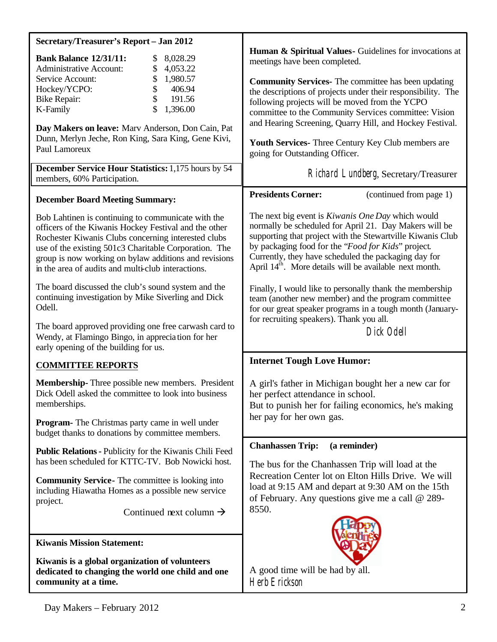| Secretary/Treasurer's Report - Jan 2012                                                                                                                                                                                                                                                                                                    |                                                                                                                                                                                                                                                                                                                                                                       |
|--------------------------------------------------------------------------------------------------------------------------------------------------------------------------------------------------------------------------------------------------------------------------------------------------------------------------------------------|-----------------------------------------------------------------------------------------------------------------------------------------------------------------------------------------------------------------------------------------------------------------------------------------------------------------------------------------------------------------------|
| <b>Bank Balance 12/31/11:</b><br>8,028.29<br>\$<br>\$<br><b>Administrative Account:</b><br>4,053.22                                                                                                                                                                                                                                        | Human & Spiritual Values - Guidelines for invocations at<br>meetings have been completed.                                                                                                                                                                                                                                                                             |
| \$<br>1,980.57<br>Service Account:<br>Hockey/YCPO:<br>406.94<br>\$<br>\$<br><b>Bike Repair:</b><br>191.56<br>\$<br>1,396.00<br>K-Family                                                                                                                                                                                                    | <b>Community Services-</b> The committee has been updating<br>the descriptions of projects under their responsibility. The<br>following projects will be moved from the YCPO<br>committee to the Community Services committee: Vision                                                                                                                                 |
| Day Makers on leave: Marv Anderson, Don Cain, Pat<br>Dunn, Merlyn Jeche, Ron King, Sara King, Gene Kivi,<br>Paul Lamoreux                                                                                                                                                                                                                  | and Hearing Screening, Quarry Hill, and Hockey Festival.<br>Youth Services- Three Century Key Club members are<br>going for Outstanding Officer.                                                                                                                                                                                                                      |
| December Service Hour Statistics: 1,175 hours by 54<br>members, 60% Participation.                                                                                                                                                                                                                                                         | Richard Lundberg, Secretary/Treasurer                                                                                                                                                                                                                                                                                                                                 |
| <b>December Board Meeting Summary:</b>                                                                                                                                                                                                                                                                                                     | <b>Presidents Corner:</b><br>(continued from page 1)                                                                                                                                                                                                                                                                                                                  |
| Bob Lahtinen is continuing to communicate with the<br>officers of the Kiwanis Hockey Festival and the other<br>Rochester Kiwanis Clubs concerning interested clubs<br>use of the existing 501c3 Charitable Corporation. The<br>group is now working on bylaw additions and revisions<br>in the area of audits and multi-club interactions. | The next big event is <i>Kiwanis One Day</i> which would<br>normally be scheduled for April 21. Day Makers will be<br>supporting that project with the Stewartville Kiwanis Club<br>by packaging food for the "Food for Kids" project.<br>Currently, they have scheduled the packaging day for<br>April 14 <sup>th</sup> . More details will be available next month. |
| The board discussed the club's sound system and the<br>continuing investigation by Mike Siverling and Dick<br>Odell.                                                                                                                                                                                                                       | Finally, I would like to personally thank the membership<br>team (another new member) and the program committee<br>for our great speaker programs in a tough month (January-<br>for recruiting speakers). Thank you all.                                                                                                                                              |
| The board approved providing one free carwash card to<br>Wendy, at Flamingo Bingo, in appreciation for her<br>early opening of the building for us.                                                                                                                                                                                        | Dick Odell                                                                                                                                                                                                                                                                                                                                                            |
| <b>COMMITTEE REPORTS</b>                                                                                                                                                                                                                                                                                                                   | <b>Internet Tough Love Humor:</b>                                                                                                                                                                                                                                                                                                                                     |
| Membership-Three possible new members. President<br>Dick Odell asked the committee to look into business<br>memberships.                                                                                                                                                                                                                   | A girl's father in Michigan bought her a new car for<br>her perfect attendance in school.<br>But to punish her for failing economics, he's making                                                                                                                                                                                                                     |
| <b>Program-</b> The Christmas party came in well under<br>budget thanks to donations by committee members.                                                                                                                                                                                                                                 | her pay for her own gas.                                                                                                                                                                                                                                                                                                                                              |
| <b>Public Relations - Publicity for the Kiwanis Chili Feed</b><br>has been scheduled for KTTC-TV. Bob Nowicki host.                                                                                                                                                                                                                        | <b>Chanhassen Trip:</b><br>(a reminder)<br>The bus for the Chanhassen Trip will load at the<br>Recreation Center lot on Elton Hills Drive. We will<br>load at 9:15 AM and depart at 9:30 AM on the 15th<br>of February. Any questions give me a call $@$ 289-                                                                                                         |
| <b>Community Service-</b> The committee is looking into<br>including Hiawatha Homes as a possible new service<br>project.                                                                                                                                                                                                                  |                                                                                                                                                                                                                                                                                                                                                                       |
| Continued next column $\rightarrow$                                                                                                                                                                                                                                                                                                        | 8550.                                                                                                                                                                                                                                                                                                                                                                 |
| <b>Kiwanis Mission Statement:</b>                                                                                                                                                                                                                                                                                                          |                                                                                                                                                                                                                                                                                                                                                                       |
| Kiwanis is a global organization of volunteers<br>dedicated to changing the world one child and one<br>community at a time.                                                                                                                                                                                                                | A good time will be had by all.<br>Herb Erickson                                                                                                                                                                                                                                                                                                                      |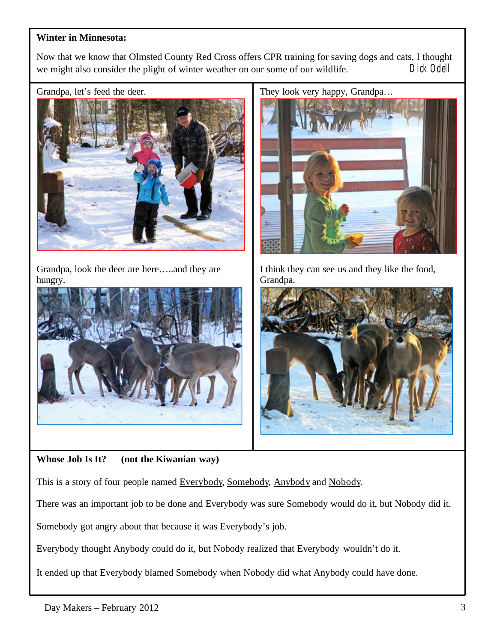## **Winter in Minnesota:**

Now that we know that Olmsted County Red Cross offers CPR training for saving dogs and cats, I thought we might also consider the plight of winter weather on our some of our wildlife. Dick Odell

Grandpa, let's feed the deer.



Grandpa, look the deer are here…..and they are hungry.



**Whose Job Is It? (not the Kiwanian way)**

This is a story of four people named Everybody, Somebody, Anybody and Nobody.

There was an important job to be done and Everybody was sure Somebody would do it, but Nobody did it.

Somebody got angry about that because it was Everybody's job.

Everybody thought Anybody could do it, but Nobody realized that Everybody wouldn't do it.

It ended up that Everybody blamed Somebody when Nobody did what Anybody could have done.



I think they can see us and they like the food, Grandpa.